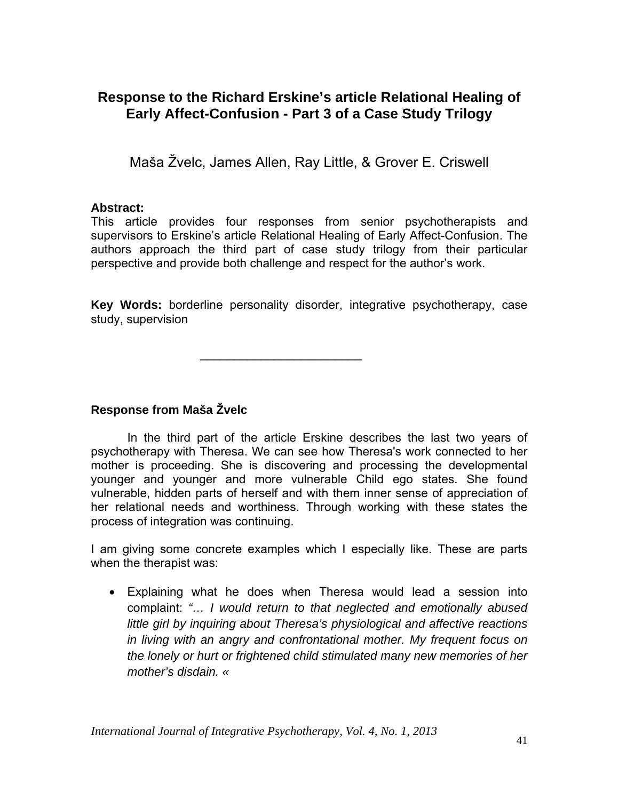# **Response to the Richard Erskine's article Relational Healing of Early Affect-Confusion - Part 3 of a Case Study Trilogy**

Maša Žvelc, James Allen, Ray Little, & Grover E. Criswell

### **Abstract:**

This article provides four responses from senior psychotherapists and supervisors to Erskine's article Relational Healing of Early Affect-Confusion. The authors approach the third part of case study trilogy from their particular perspective and provide both challenge and respect for the author's work.

**Key Words:** borderline personality disorder, integrative psychotherapy, case study, supervision

 $\mathcal{L}_\text{max}$  and  $\mathcal{L}_\text{max}$  and  $\mathcal{L}_\text{max}$  and  $\mathcal{L}_\text{max}$ 

### **Response from Maša Žvelc**

In the third part of the article Erskine describes the last two years of psychotherapy with Theresa. We can see how Theresa's work connected to her mother is proceeding. She is discovering and processing the developmental younger and younger and more vulnerable Child ego states. She found vulnerable, hidden parts of herself and with them inner sense of appreciation of her relational needs and worthiness. Through working with these states the process of integration was continuing.

I am giving some concrete examples which I especially like. These are parts when the therapist was:

• Explaining what he does when Theresa would lead a session into complaint: *"… I would return to that neglected and emotionally abused little girl by inquiring about Theresa's physiological and affective reactions in living with an angry and confrontational mother. My frequent focus on the lonely or hurt or frightened child stimulated many new memories of her mother's disdain. «*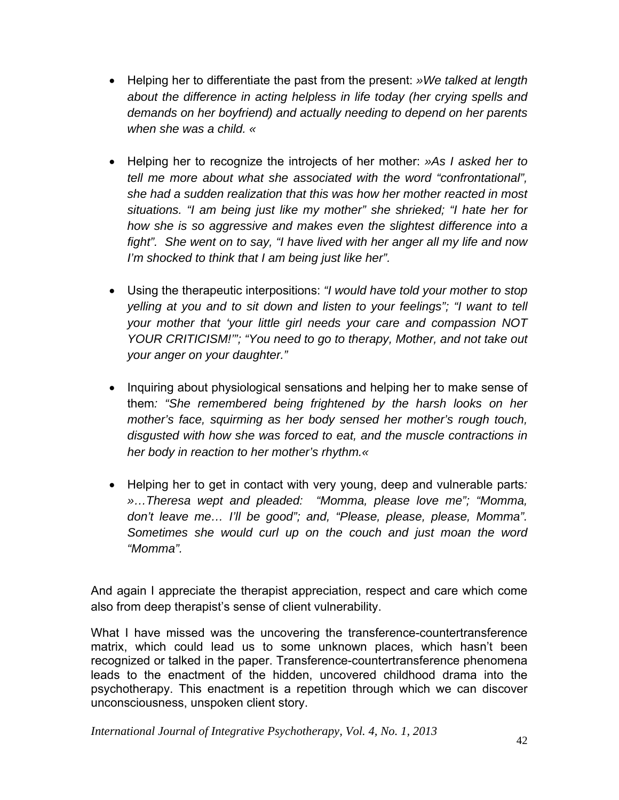- Helping her to differentiate the past from the present: *»We talked at length about the difference in acting helpless in life today (her crying spells and demands on her boyfriend) and actually needing to depend on her parents when she was a child. «*
- Helping her to recognize the introjects of her mother: *»As I asked her to tell me more about what she associated with the word "confrontational", she had a sudden realization that this was how her mother reacted in most situations. "I am being just like my mother" she shrieked; "I hate her for how she is so aggressive and makes even the slightest difference into a fight". She went on to say, "I have lived with her anger all my life and now I'm shocked to think that I am being just like her".*
- Using the therapeutic interpositions: *"I would have told your mother to stop yelling at you and to sit down and listen to your feelings"; "I want to tell your mother that 'your little girl needs your care and compassion NOT YOUR CRITICISM!'"; "You need to go to therapy, Mother, and not take out your anger on your daughter."*
- Inquiring about physiological sensations and helping her to make sense of them*: "She remembered being frightened by the harsh looks on her mother's face, squirming as her body sensed her mother's rough touch, disgusted with how she was forced to eat, and the muscle contractions in her body in reaction to her mother's rhythm.«*
- Helping her to get in contact with very young, deep and vulnerable parts*: »…Theresa wept and pleaded: "Momma, please love me"; "Momma, don't leave me… I'll be good"; and, "Please, please, please, Momma". Sometimes she would curl up on the couch and just moan the word "Momma".*

And again I appreciate the therapist appreciation, respect and care which come also from deep therapist's sense of client vulnerability.

What I have missed was the uncovering the transference-countertransference matrix, which could lead us to some unknown places, which hasn't been recognized or talked in the paper. Transference-countertransference phenomena leads to the enactment of the hidden, uncovered childhood drama into the psychotherapy. This enactment is a repetition through which we can discover unconsciousness, unspoken client story.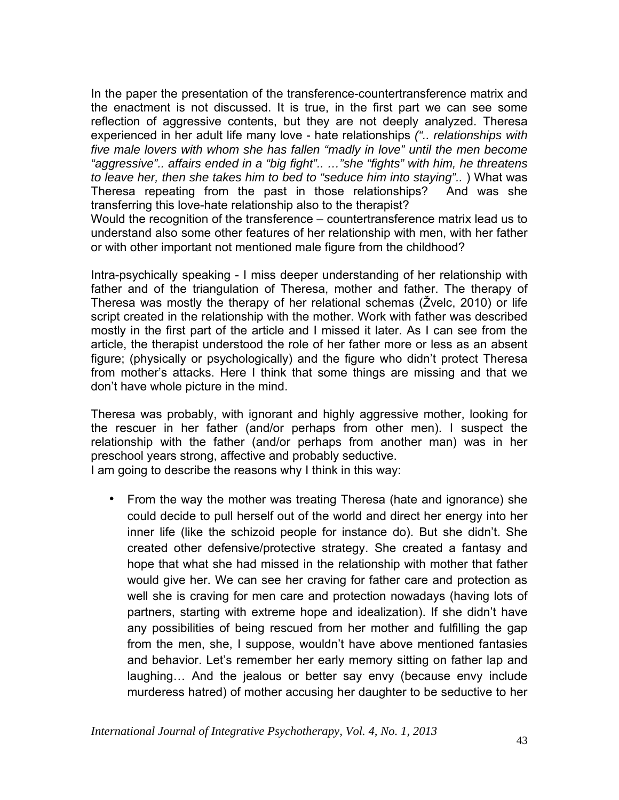In the paper the presentation of the transference-countertransference matrix and the enactment is not discussed. It is true, in the first part we can see some reflection of aggressive contents, but they are not deeply analyzed. Theresa experienced in her adult life many love - hate relationships *(".. relationships with five male lovers with whom she has fallen "madly in love" until the men become "aggressive".. affairs ended in a "big fight".. …"she "fights" with him, he threatens to leave her, then she takes him to bed to "seduce him into staying"..* ) What was Theresa repeating from the past in those relationships? And was she transferring this love-hate relationship also to the therapist?

Would the recognition of the transference – countertransference matrix lead us to understand also some other features of her relationship with men, with her father or with other important not mentioned male figure from the childhood?

Intra-psychically speaking - I miss deeper understanding of her relationship with father and of the triangulation of Theresa, mother and father. The therapy of Theresa was mostly the therapy of her relational schemas (Žvelc, 2010) or life script created in the relationship with the mother. Work with father was described mostly in the first part of the article and I missed it later. As I can see from the article, the therapist understood the role of her father more or less as an absent figure; (physically or psychologically) and the figure who didn't protect Theresa from mother's attacks. Here I think that some things are missing and that we don't have whole picture in the mind.

Theresa was probably, with ignorant and highly aggressive mother, looking for the rescuer in her father (and/or perhaps from other men). I suspect the relationship with the father (and/or perhaps from another man) was in her preschool years strong, affective and probably seductive.

I am going to describe the reasons why I think in this way:

• From the way the mother was treating Theresa (hate and ignorance) she could decide to pull herself out of the world and direct her energy into her inner life (like the schizoid people for instance do). But she didn't. She created other defensive/protective strategy. She created a fantasy and hope that what she had missed in the relationship with mother that father would give her. We can see her craving for father care and protection as well she is craving for men care and protection nowadays (having lots of partners, starting with extreme hope and idealization). If she didn't have any possibilities of being rescued from her mother and fulfilling the gap from the men, she, I suppose, wouldn't have above mentioned fantasies and behavior. Let's remember her early memory sitting on father lap and laughing… And the jealous or better say envy (because envy include murderess hatred) of mother accusing her daughter to be seductive to her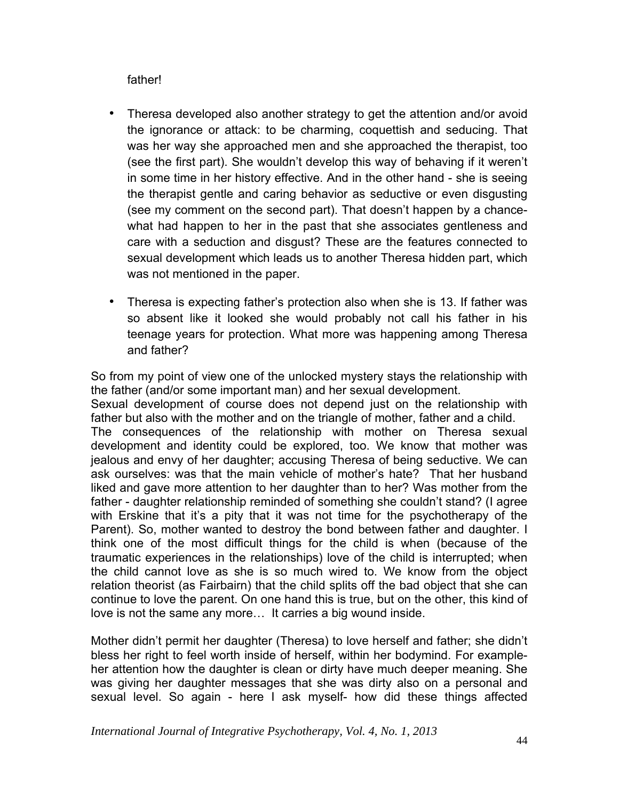father!

- Theresa developed also another strategy to get the attention and/or avoid the ignorance or attack: to be charming, coquettish and seducing. That was her way she approached men and she approached the therapist, too (see the first part). She wouldn't develop this way of behaving if it weren't in some time in her history effective. And in the other hand - she is seeing the therapist gentle and caring behavior as seductive or even disgusting (see my comment on the second part). That doesn't happen by a chancewhat had happen to her in the past that she associates gentleness and care with a seduction and disgust? These are the features connected to sexual development which leads us to another Theresa hidden part, which was not mentioned in the paper.
- Theresa is expecting father's protection also when she is 13. If father was so absent like it looked she would probably not call his father in his teenage years for protection. What more was happening among Theresa and father?

So from my point of view one of the unlocked mystery stays the relationship with the father (and/or some important man) and her sexual development.

Sexual development of course does not depend just on the relationship with father but also with the mother and on the triangle of mother, father and a child. The consequences of the relationship with mother on Theresa sexual development and identity could be explored, too. We know that mother was jealous and envy of her daughter; accusing Theresa of being seductive. We can ask ourselves: was that the main vehicle of mother's hate? That her husband liked and gave more attention to her daughter than to her? Was mother from the father - daughter relationship reminded of something she couldn't stand? (I agree with Erskine that it's a pity that it was not time for the psychotherapy of the Parent). So, mother wanted to destroy the bond between father and daughter. I think one of the most difficult things for the child is when (because of the traumatic experiences in the relationships) love of the child is interrupted; when the child cannot love as she is so much wired to. We know from the object relation theorist (as Fairbairn) that the child splits off the bad object that she can continue to love the parent. On one hand this is true, but on the other, this kind of love is not the same any more… It carries a big wound inside.

Mother didn't permit her daughter (Theresa) to love herself and father; she didn't bless her right to feel worth inside of herself, within her bodymind. For exampleher attention how the daughter is clean or dirty have much deeper meaning. She was giving her daughter messages that she was dirty also on a personal and sexual level. So again - here I ask myself- how did these things affected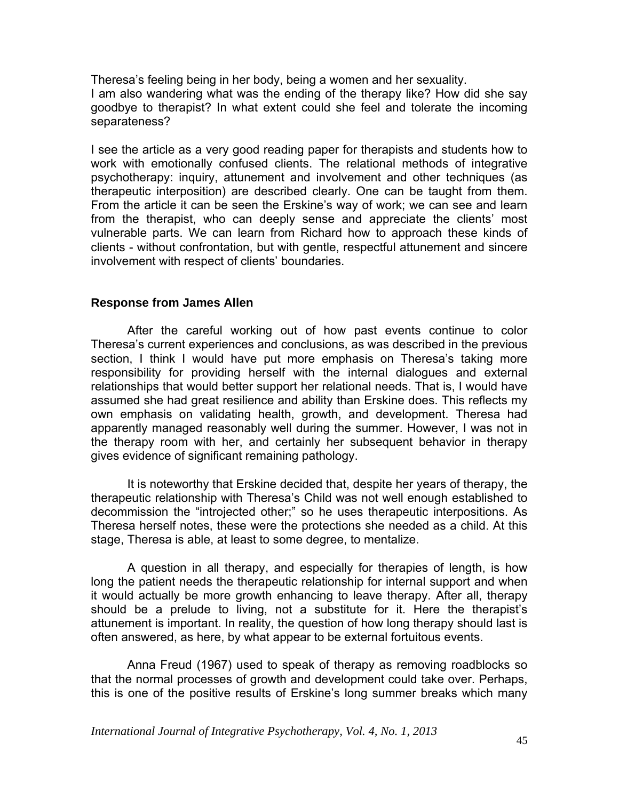Theresa's feeling being in her body, being a women and her sexuality. I am also wandering what was the ending of the therapy like? How did she say goodbye to therapist? In what extent could she feel and tolerate the incoming separateness?

I see the article as a very good reading paper for therapists and students how to work with emotionally confused clients. The relational methods of integrative psychotherapy: inquiry, attunement and involvement and other techniques (as therapeutic interposition) are described clearly. One can be taught from them. From the article it can be seen the Erskine's way of work; we can see and learn from the therapist, who can deeply sense and appreciate the clients' most vulnerable parts. We can learn from Richard how to approach these kinds of clients - without confrontation, but with gentle, respectful attunement and sincere involvement with respect of clients' boundaries.

#### **Response from James Allen**

After the careful working out of how past events continue to color Theresa's current experiences and conclusions, as was described in the previous section, I think I would have put more emphasis on Theresa's taking more responsibility for providing herself with the internal dialogues and external relationships that would better support her relational needs. That is, I would have assumed she had great resilience and ability than Erskine does. This reflects my own emphasis on validating health, growth, and development. Theresa had apparently managed reasonably well during the summer. However, I was not in the therapy room with her, and certainly her subsequent behavior in therapy gives evidence of significant remaining pathology.

It is noteworthy that Erskine decided that, despite her years of therapy, the therapeutic relationship with Theresa's Child was not well enough established to decommission the "introjected other;" so he uses therapeutic interpositions. As Theresa herself notes, these were the protections she needed as a child. At this stage, Theresa is able, at least to some degree, to mentalize.

A question in all therapy, and especially for therapies of length, is how long the patient needs the therapeutic relationship for internal support and when it would actually be more growth enhancing to leave therapy. After all, therapy should be a prelude to living, not a substitute for it. Here the therapist's attunement is important. In reality, the question of how long therapy should last is often answered, as here, by what appear to be external fortuitous events.

Anna Freud (1967) used to speak of therapy as removing roadblocks so that the normal processes of growth and development could take over. Perhaps, this is one of the positive results of Erskine's long summer breaks which many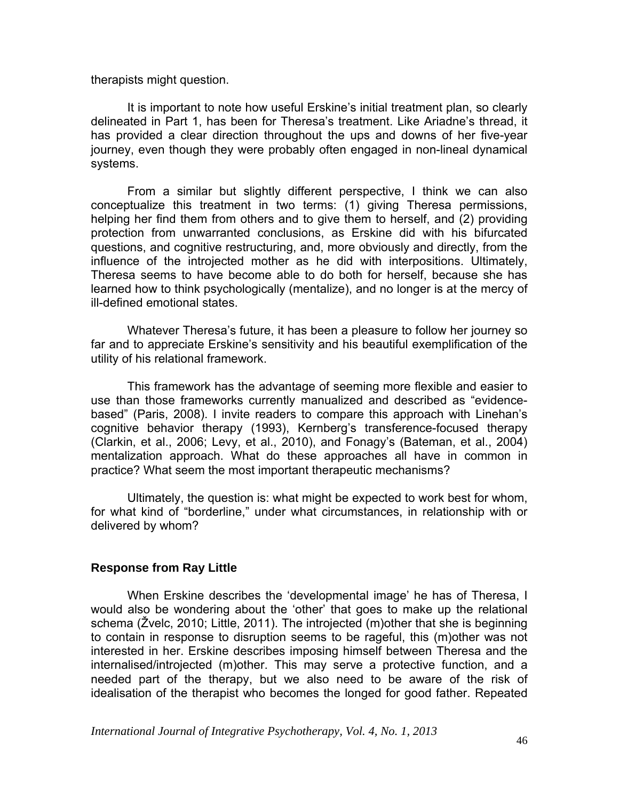therapists might question.

It is important to note how useful Erskine's initial treatment plan, so clearly delineated in Part 1, has been for Theresa's treatment. Like Ariadne's thread, it has provided a clear direction throughout the ups and downs of her five-year journey, even though they were probably often engaged in non-lineal dynamical systems.

From a similar but slightly different perspective, I think we can also conceptualize this treatment in two terms: (1) giving Theresa permissions, helping her find them from others and to give them to herself, and (2) providing protection from unwarranted conclusions, as Erskine did with his bifurcated questions, and cognitive restructuring, and, more obviously and directly, from the influence of the introjected mother as he did with interpositions. Ultimately, Theresa seems to have become able to do both for herself, because she has learned how to think psychologically (mentalize), and no longer is at the mercy of ill-defined emotional states.

Whatever Theresa's future, it has been a pleasure to follow her journey so far and to appreciate Erskine's sensitivity and his beautiful exemplification of the utility of his relational framework.

This framework has the advantage of seeming more flexible and easier to use than those frameworks currently manualized and described as "evidencebased" (Paris, 2008). I invite readers to compare this approach with Linehan's cognitive behavior therapy (1993), Kernberg's transference-focused therapy (Clarkin, et al., 2006; Levy, et al., 2010), and Fonagy's (Bateman, et al., 2004) mentalization approach. What do these approaches all have in common in practice? What seem the most important therapeutic mechanisms?

Ultimately, the question is: what might be expected to work best for whom, for what kind of "borderline," under what circumstances, in relationship with or delivered by whom?

#### **Response from Ray Little**

When Erskine describes the 'developmental image' he has of Theresa, I would also be wondering about the 'other' that goes to make up the relational schema (Žvelc, 2010; Little, 2011). The introjected (m)other that she is beginning to contain in response to disruption seems to be rageful, this (m)other was not interested in her. Erskine describes imposing himself between Theresa and the internalised/introjected (m)other. This may serve a protective function, and a needed part of the therapy, but we also need to be aware of the risk of idealisation of the therapist who becomes the longed for good father. Repeated

*International Journal of Integrative Psychotherapy, Vol. 4, No. 1, 2013* <sup>46</sup>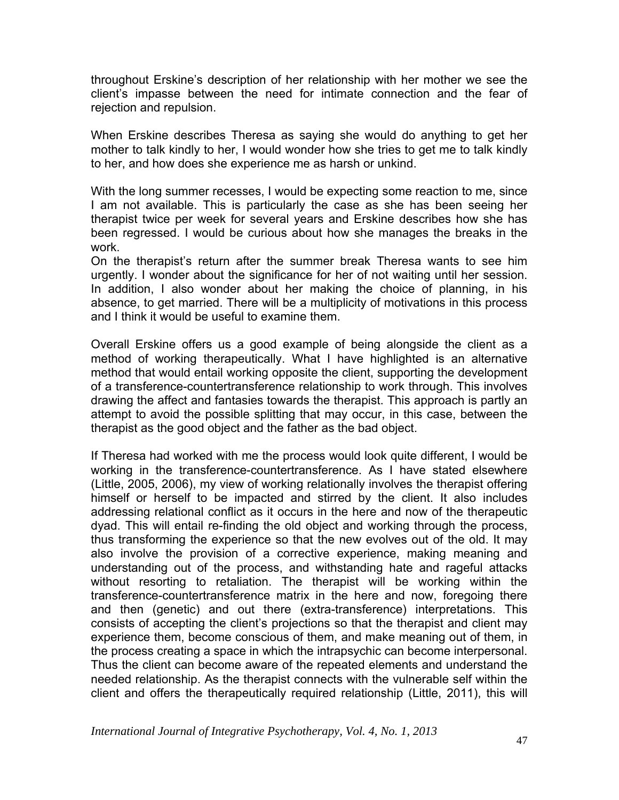throughout Erskine's description of her relationship with her mother we see the client's impasse between the need for intimate connection and the fear of rejection and repulsion.

When Erskine describes Theresa as saying she would do anything to get her mother to talk kindly to her, I would wonder how she tries to get me to talk kindly to her, and how does she experience me as harsh or unkind.

With the long summer recesses, I would be expecting some reaction to me, since I am not available. This is particularly the case as she has been seeing her therapist twice per week for several years and Erskine describes how she has been regressed. I would be curious about how she manages the breaks in the work.

On the therapist's return after the summer break Theresa wants to see him urgently. I wonder about the significance for her of not waiting until her session. In addition, I also wonder about her making the choice of planning, in his absence, to get married. There will be a multiplicity of motivations in this process and I think it would be useful to examine them.

Overall Erskine offers us a good example of being alongside the client as a method of working therapeutically. What I have highlighted is an alternative method that would entail working opposite the client, supporting the development of a transference-countertransference relationship to work through. This involves drawing the affect and fantasies towards the therapist. This approach is partly an attempt to avoid the possible splitting that may occur, in this case, between the therapist as the good object and the father as the bad object.

If Theresa had worked with me the process would look quite different, I would be working in the transference-countertransference. As I have stated elsewhere (Little, 2005, 2006), my view of working relationally involves the therapist offering himself or herself to be impacted and stirred by the client. It also includes addressing relational conflict as it occurs in the here and now of the therapeutic dyad. This will entail re-finding the old object and working through the process, thus transforming the experience so that the new evolves out of the old. It may also involve the provision of a corrective experience, making meaning and understanding out of the process, and withstanding hate and rageful attacks without resorting to retaliation. The therapist will be working within the transference-countertransference matrix in the here and now, foregoing there and then (genetic) and out there (extra-transference) interpretations. This consists of accepting the client's projections so that the therapist and client may experience them, become conscious of them, and make meaning out of them, in the process creating a space in which the intrapsychic can become interpersonal. Thus the client can become aware of the repeated elements and understand the needed relationship. As the therapist connects with the vulnerable self within the client and offers the therapeutically required relationship (Little, 2011), this will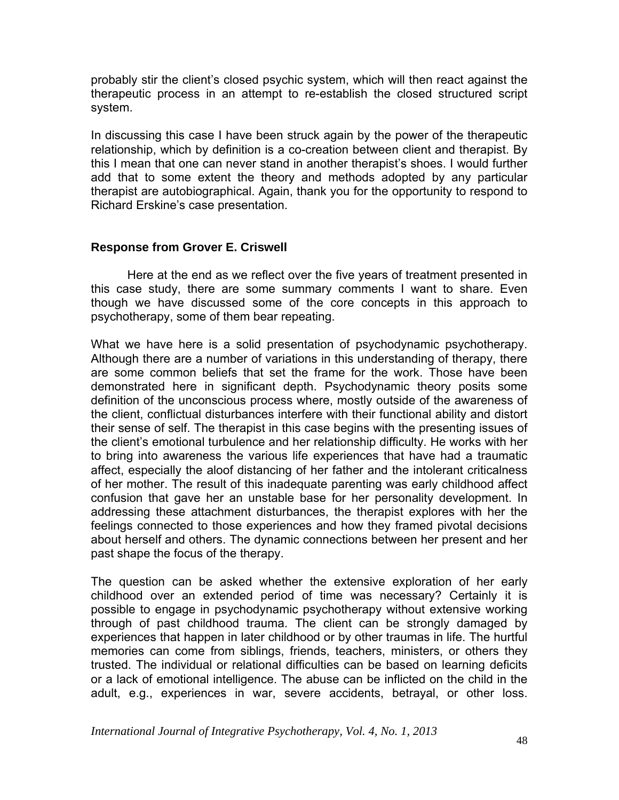probably stir the client's closed psychic system, which will then react against the therapeutic process in an attempt to re-establish the closed structured script system.

In discussing this case I have been struck again by the power of the therapeutic relationship, which by definition is a co-creation between client and therapist. By this I mean that one can never stand in another therapist's shoes. I would further add that to some extent the theory and methods adopted by any particular therapist are autobiographical. Again, thank you for the opportunity to respond to Richard Erskine's case presentation.

#### **Response from Grover E. Criswell**

 Here at the end as we reflect over the five years of treatment presented in this case study, there are some summary comments I want to share. Even though we have discussed some of the core concepts in this approach to psychotherapy, some of them bear repeating.

What we have here is a solid presentation of psychodynamic psychotherapy. Although there are a number of variations in this understanding of therapy, there are some common beliefs that set the frame for the work. Those have been demonstrated here in significant depth. Psychodynamic theory posits some definition of the unconscious process where, mostly outside of the awareness of the client, conflictual disturbances interfere with their functional ability and distort their sense of self. The therapist in this case begins with the presenting issues of the client's emotional turbulence and her relationship difficulty. He works with her to bring into awareness the various life experiences that have had a traumatic affect, especially the aloof distancing of her father and the intolerant criticalness of her mother. The result of this inadequate parenting was early childhood affect confusion that gave her an unstable base for her personality development. In addressing these attachment disturbances, the therapist explores with her the feelings connected to those experiences and how they framed pivotal decisions about herself and others. The dynamic connections between her present and her past shape the focus of the therapy.

The question can be asked whether the extensive exploration of her early childhood over an extended period of time was necessary? Certainly it is possible to engage in psychodynamic psychotherapy without extensive working through of past childhood trauma. The client can be strongly damaged by experiences that happen in later childhood or by other traumas in life. The hurtful memories can come from siblings, friends, teachers, ministers, or others they trusted. The individual or relational difficulties can be based on learning deficits or a lack of emotional intelligence. The abuse can be inflicted on the child in the adult, e.g., experiences in war, severe accidents, betrayal, or other loss.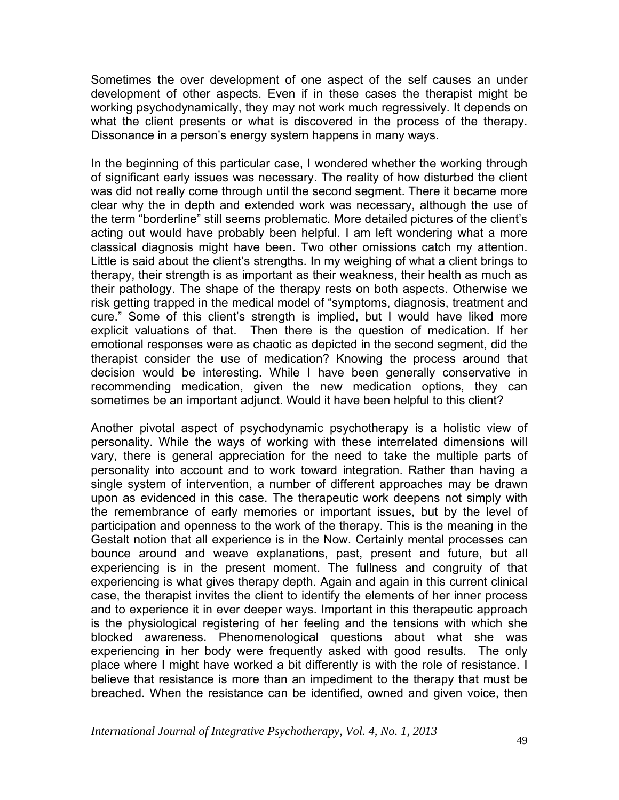Sometimes the over development of one aspect of the self causes an under development of other aspects. Even if in these cases the therapist might be working psychodynamically, they may not work much regressively. It depends on what the client presents or what is discovered in the process of the therapy. Dissonance in a person's energy system happens in many ways.

In the beginning of this particular case, I wondered whether the working through of significant early issues was necessary. The reality of how disturbed the client was did not really come through until the second segment. There it became more clear why the in depth and extended work was necessary, although the use of the term "borderline" still seems problematic. More detailed pictures of the client's acting out would have probably been helpful. I am left wondering what a more classical diagnosis might have been. Two other omissions catch my attention. Little is said about the client's strengths. In my weighing of what a client brings to therapy, their strength is as important as their weakness, their health as much as their pathology. The shape of the therapy rests on both aspects. Otherwise we risk getting trapped in the medical model of "symptoms, diagnosis, treatment and cure." Some of this client's strength is implied, but I would have liked more explicit valuations of that. Then there is the question of medication. If her emotional responses were as chaotic as depicted in the second segment, did the therapist consider the use of medication? Knowing the process around that decision would be interesting. While I have been generally conservative in recommending medication, given the new medication options, they can sometimes be an important adjunct. Would it have been helpful to this client?

Another pivotal aspect of psychodynamic psychotherapy is a holistic view of personality. While the ways of working with these interrelated dimensions will vary, there is general appreciation for the need to take the multiple parts of personality into account and to work toward integration. Rather than having a single system of intervention, a number of different approaches may be drawn upon as evidenced in this case. The therapeutic work deepens not simply with the remembrance of early memories or important issues, but by the level of participation and openness to the work of the therapy. This is the meaning in the Gestalt notion that all experience is in the Now. Certainly mental processes can bounce around and weave explanations, past, present and future, but all experiencing is in the present moment. The fullness and congruity of that experiencing is what gives therapy depth. Again and again in this current clinical case, the therapist invites the client to identify the elements of her inner process and to experience it in ever deeper ways. Important in this therapeutic approach is the physiological registering of her feeling and the tensions with which she blocked awareness. Phenomenological questions about what she was experiencing in her body were frequently asked with good results. The only place where I might have worked a bit differently is with the role of resistance. I believe that resistance is more than an impediment to the therapy that must be breached. When the resistance can be identified, owned and given voice, then

*International Journal of Integrative Psychotherapy, Vol. 4, No. 1, 2013* <sup>49</sup>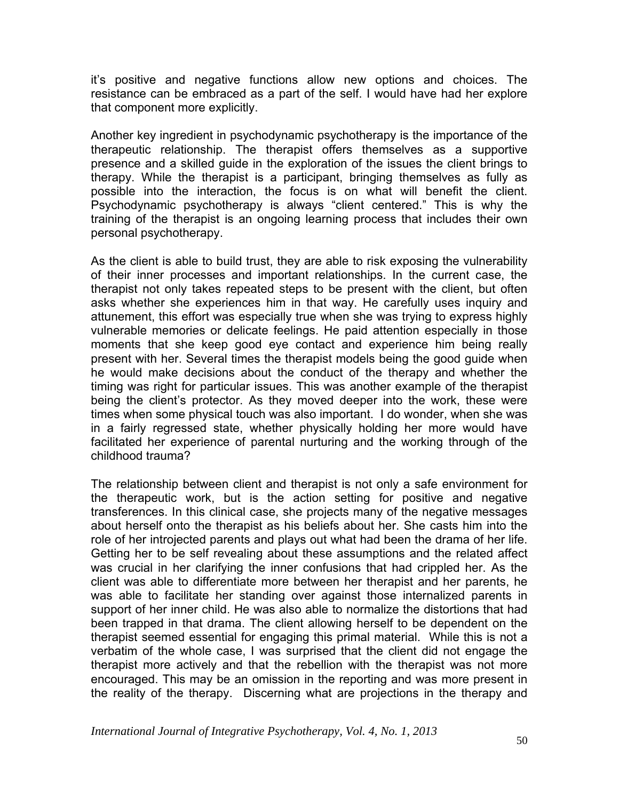it's positive and negative functions allow new options and choices. The resistance can be embraced as a part of the self. I would have had her explore that component more explicitly.

Another key ingredient in psychodynamic psychotherapy is the importance of the therapeutic relationship. The therapist offers themselves as a supportive presence and a skilled guide in the exploration of the issues the client brings to therapy. While the therapist is a participant, bringing themselves as fully as possible into the interaction, the focus is on what will benefit the client. Psychodynamic psychotherapy is always "client centered." This is why the training of the therapist is an ongoing learning process that includes their own personal psychotherapy.

As the client is able to build trust, they are able to risk exposing the vulnerability of their inner processes and important relationships. In the current case, the therapist not only takes repeated steps to be present with the client, but often asks whether she experiences him in that way. He carefully uses inquiry and attunement, this effort was especially true when she was trying to express highly vulnerable memories or delicate feelings. He paid attention especially in those moments that she keep good eye contact and experience him being really present with her. Several times the therapist models being the good guide when he would make decisions about the conduct of the therapy and whether the timing was right for particular issues. This was another example of the therapist being the client's protector. As they moved deeper into the work, these were times when some physical touch was also important. I do wonder, when she was in a fairly regressed state, whether physically holding her more would have facilitated her experience of parental nurturing and the working through of the childhood trauma?

The relationship between client and therapist is not only a safe environment for the therapeutic work, but is the action setting for positive and negative transferences. In this clinical case, she projects many of the negative messages about herself onto the therapist as his beliefs about her. She casts him into the role of her introjected parents and plays out what had been the drama of her life. Getting her to be self revealing about these assumptions and the related affect was crucial in her clarifying the inner confusions that had crippled her. As the client was able to differentiate more between her therapist and her parents, he was able to facilitate her standing over against those internalized parents in support of her inner child. He was also able to normalize the distortions that had been trapped in that drama. The client allowing herself to be dependent on the therapist seemed essential for engaging this primal material. While this is not a verbatim of the whole case, I was surprised that the client did not engage the therapist more actively and that the rebellion with the therapist was not more encouraged. This may be an omission in the reporting and was more present in the reality of the therapy. Discerning what are projections in the therapy and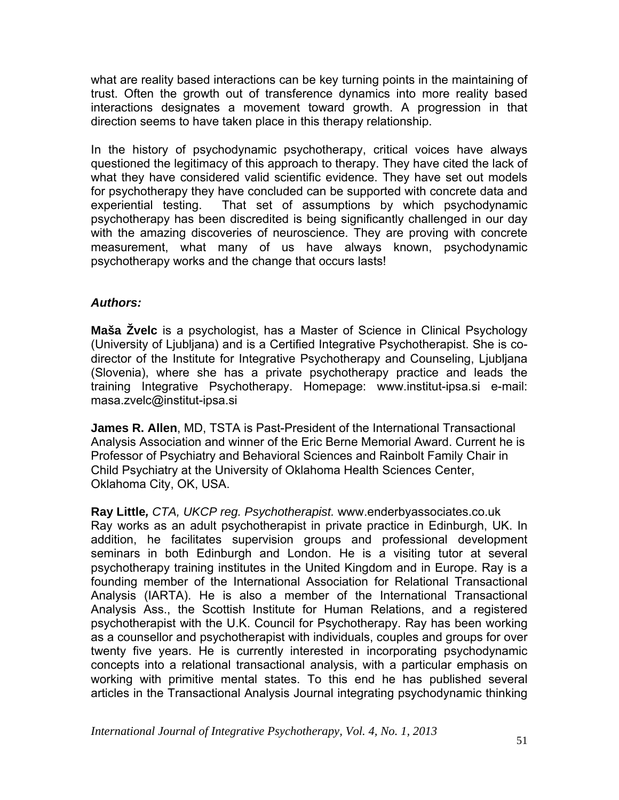what are reality based interactions can be key turning points in the maintaining of trust. Often the growth out of transference dynamics into more reality based interactions designates a movement toward growth. A progression in that direction seems to have taken place in this therapy relationship.

In the history of psychodynamic psychotherapy, critical voices have always questioned the legitimacy of this approach to therapy. They have cited the lack of what they have considered valid scientific evidence. They have set out models for psychotherapy they have concluded can be supported with concrete data and experiential testing. That set of assumptions by which psychodynamic psychotherapy has been discredited is being significantly challenged in our day with the amazing discoveries of neuroscience. They are proving with concrete measurement, what many of us have always known, psychodynamic psychotherapy works and the change that occurs lasts!

## *Authors:*

**Maša Žvelc** is a psychologist, has a Master of Science in Clinical Psychology (University of Ljubljana) and is a Certified Integrative Psychotherapist. She is codirector of the Institute for Integrative Psychotherapy and Counseling, Ljubljana (Slovenia), where she has a private psychotherapy practice and leads the training Integrative Psychotherapy. Homepage: www.institut-ipsa.si e-mail: [masa.zvelc@institut-ipsa.si](mailto:masa.zvelc@institut-ipsa.si) 

**James R. Allen**, MD, TSTA is Past-President of the International Transactional Analysis Association and winner of the Eric Berne Memorial Award. Current he is Professor of Psychiatry and Behavioral Sciences and Rainbolt Family Chair in Child Psychiatry at the University of Oklahoma Health Sciences Center, Oklahoma City, OK, USA.

**Ray Little***, CTA, UKCP reg. Psychotherapist.* www.enderbyassociates.co.uk Ray works as an adult psychotherapist in private practice in Edinburgh, UK. In addition, he facilitates supervision groups and professional development seminars in both Edinburgh and London. He is a visiting tutor at several psychotherapy training institutes in the United Kingdom and in Europe. Ray is a founding member of the International Association for Relational Transactional Analysis (IARTA). He is also a member of the International Transactional Analysis Ass., the Scottish Institute for Human Relations, and a registered psychotherapist with the U.K. Council for Psychotherapy. Ray has been working as a counsellor and psychotherapist with individuals, couples and groups for over twenty five years. He is currently interested in incorporating psychodynamic concepts into a relational transactional analysis, with a particular emphasis on working with primitive mental states. To this end he has published several articles in the Transactional Analysis Journal integrating psychodynamic thinking